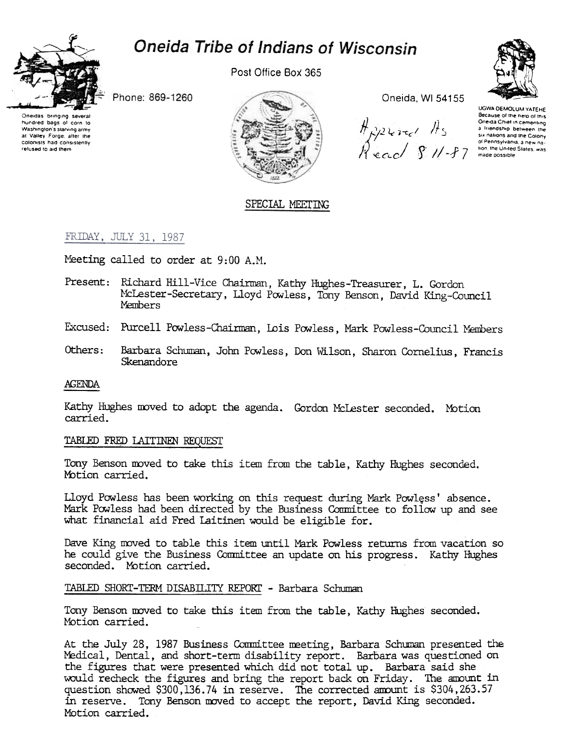# Oneida Tribe of Indians of Wisconsin



Post Office Box 365

Phone: 869-1260

Oneidas bringing several hundred bags of corn to Washington's starving army at Valley Force, after the colonists had consistently refused to aid them



Oneida, WI 54155

UGWA DEMOLUM YATEHE Because of the neip of this Oneida Chief in cementing

# SPECIAL MEETING

# FRIDAY, JULY 31, 1987

Meeting called to order at 9:00 A.M.

- Present: Richard Hill-Vice Chairman, Kathy Hughes-Treasurer, L. Gordon McLester-Secretary, Lloyd Powless, Tony Benson, David King-Council **Members**
- Excused: Purcell Powless-Chairman, Lois Powless, Mark Powless-Council Members
- Barbara Schuman, John Powless, Don Wilson, Sharon Cornelius, Francis Others: Skenandore

### AGENDA

Kathy Hughes moved to adopt the agenda. Gordon McLester seconded. Motion carried.

# TABLED FRED LAITINEN REQUEST

Tony Benson moved to take this item from the table, Kathy Hughes seconded. Motion carried.

Lloyd Powless has been working on this request during Mark Powless' absence. Mark Powless had been directed by the Business Committee to follow up and see what financial aid Fred Laitinen would be eligible for.

Dave King moved to table this item until Mark Powless returns from vacation so he could give the Business Committee an update on his progress. Kathy Hughes seconded. Motion carried.

### TABLED SHORT-TERM DISABILITY REPORT - Barbara Schuman

Tony Benson moved to take this item from the table, Kathy Hughes seconded. Motion carried.

At the July 28, 1987 Business Committee meeting, Barbara Schuman presented the Medical, Dental, and short-term disability report. Barbara was questioned on the figures that were presented which did not total up. Barbara said she would recheck the figures and bring the report back on Friday. The amount in question showed \$300,136.74 in reserve. The corrected amount is \$304,263.57 in reserve. Tony Benson moved to accept the report, David King seconded. Motion carried.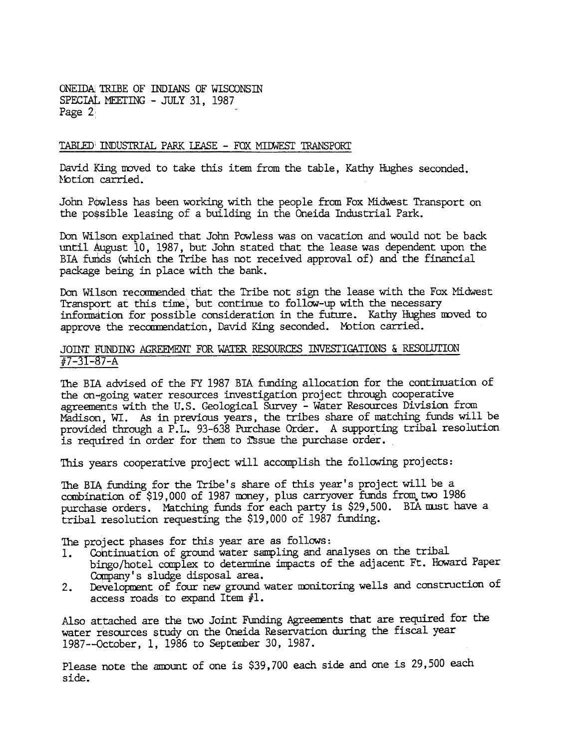ONEIDA TRIBE OF INDIANS OF WISCONSIN SPECIAL MEETING - JULY 31, 1987 Page 2:

#### TABLED INDUSTRIAL PARK LEASE - FOX MIDWEST TRANSPORT

David King moved to take this item from the table, Kathy Hughes seconded. Motion carried.

John Powless has been working with the people from Fox Midwest Transport on the po\$sible leasing of a building in the Oneida Industrial Park.

Don Wilson explained that John Powless was on vacation and would not be back until  $A$ ugust  $10$ , 1987, but John stated that the lease was dependent upon the BIA funds (which the Tribe has not received approval of) and the financial package being in place with the bank.

Don Wilson recommended that the Tribe not sign the lease with the Fox Midwest Transport at this time, but continue to follow-up with the necessary information for possible consideration in the future. Kathy Hughes moved to approve the recommendation, David King seconded. Motion carried.

## Jomr E'UNDING AGREEMENT FOR WATER RESOURCES INVESTIGATIONS & RESOLUrION fI7-31-87-A

The BIA advised of the FY 1987 BIA funding allocation for the continuation of the on-going water resources investigation project through cooperative agreements with the U.S. Geological Survey - Water Resources Division from Madison, WI. As in previous years, the tribes share of matching funds will be provided through a P.L. 93-638 Purchase Order. A supporting tribal resolution is required in order for them to issue the purchase order.

This years cooperative project will accomplish the following projects:

The BIA funding for the Tribe's share of this year's project will be a combination of  $$19,000$  of 1987 money, plus carryover funds from two 1986 purchase orders. Matching funds for each party is \$29,500. BIA must have a tribal resolution requesting the \$19, 000 of 1987 funding.

The project phases for this year are as follows:

- 1. Continuation of ground water sampling and analyses on the tribal bingo/hotel complex to determine impacts of the adjacent Ft. Howard Paper Company's sludge disposal area.
- 2. Development of four new ground water monitoring wells and construction of access roads to expand Item  $#1$ .

Also attached are the two Joint Funding Agreements that are required for the water resources study on the Oneida Reservation during the fiscal year 1987--october, 1, 1986 to September 30,1987.

Please note the amount of one is \$39,700 each side and one is 29,500 each side.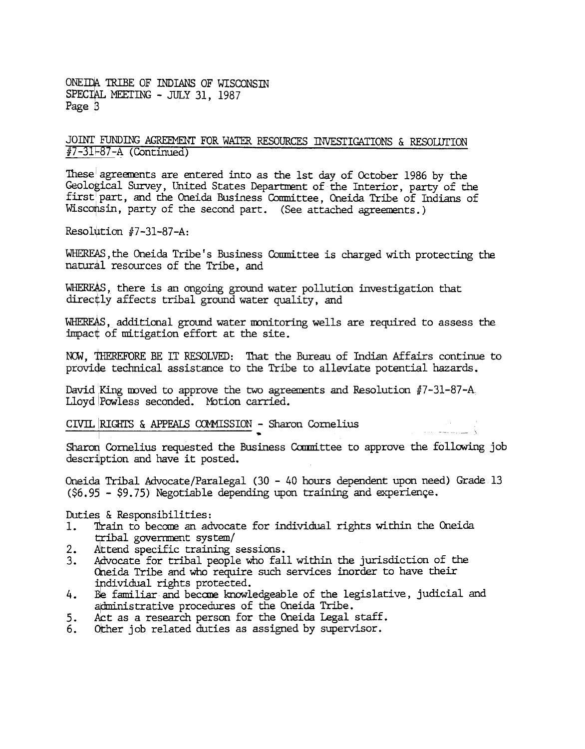ONEIDA TRIBE OF INDIANS OF WISCONSIN SPECIAL MEETING - JULY 31, 1987 Page B

### JOINT FUNDING AGREEMENT FOR WATER RESOURCES INVESTIGATIONS & RESOLUTION  $#7-31-87-A$  (Continued)

These agreements are entered into as the 1st day of October 1986 by the Geological Survey, United States Department of the Interior, party of the first part, and the Oneida Business Conmittee, Oneida Tribe of Indians of Wisconsin, party of the second part. (See attached agreements.)

Resolution  $#7-31-87-A$ :

WHEREAS, the Oneida Tribe's Business Committee is charged with protecting the natural resources of the Tribe, and

WHEREAS, there is an ongoing ground water pollution investigation that directly affects tribal ground water quality, and

WHEREAS, additional ground water monitoring wells are required to assess the impact of mitigation effort at the site.

NOW, THEREFORE BE IT RESOLVED: That the Bureau of Indian Affairs continue to provide technical assistance to the Tribe to alleviate potential hazards.

David King moved to approve the two agreements and Resolution  $#7-31-87-A$ , Lloyd Powless seconded. Motion carried.

CIVIL RIGHTS & APPEALS COMMISSION - Sharon Cornelius

Sharon Cornelius requested the Business Committee to approve the following job description and have it posted.

In the contract of the contract of the contract of the contract of the contract of the contract of the contract of the contract of the contract of the contract of the contract of the contract of the contract of the contra

Oneida Tribal Advocate/Paralegal (30 -40 hours dependent upon need) Grade 13  $(56.95 - 59.75)$  Negotiable depending upon training and experience.

#### Duties & Responsibilities:

- 1. Train to become an advocate for individual rights within the Oneida tribal government system/
- 2. Attend specific training sessions.
- 3. Advocate for tribal people who fall within the jurisdiction of the dneida Tribe and who require such services inorder to have their ipdividual rights protected.
- 4. Be familiar and become knowledgeable of the legislative, judicial and administrative procedures of the Oneida Tribe.
- 5. Act as a research person for the Oneida Legal staff.
- 6. Other job related duties as assigned by supervisor.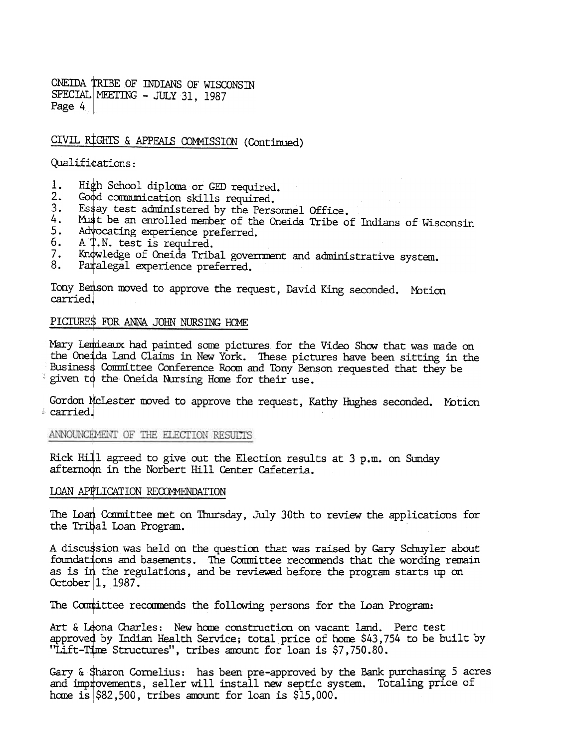ONEIDA TRIBE OF INDIANS OF WISCONSIN SPECIAL MEETING - JULY 31, 1987 Page 4

# CIVIL RIGHTS & APPEALS COMMISSION (Continued)

Qualifications:

- 1. High School diploma or GED required.
- $2.$ Good communication skills required.
- Essay test administered by the Personnel Office.  $3<sub>z</sub>$
- 4. Must be an enrolled member of the Oneida Tribe of Indians of Wisconsin
- Advocating experience preferred. 5.
- 6. A T.N. test is required.
- Knowledge of Oneida Tribal government and administrative system.  $7.$
- 8. Paralegal experience preferred.

Tony Benson moved to approve the request, David King seconded. Motion carried.

#### PICTURES FOR ANNA JOHN NURSING HOME

Mary Lemieaux had painted some pictures for the Video Show that was made on the Oneida Land Claims in New York. These pictures have been sitting in the Business Committee Conference Room and Tony Benson requested that they be given to the Oneida Nursing Home for their use.

Gordon McLester moved to approve the request, Kathy Hughes seconded. Motion \* carried.

ANNOUNCEMENT OF THE ELECTION RESULTS

Rick Hill agreed to give out the Election results at 3 p.m. on Sunday afternoon in the Norbert Hill Center Cafeteria.

#### LOAN APPLICATION RECOMMENDATION

The Loan Committee met on Thursday, July 30th to review the applications for the Tribal Loan Program.

A discussion was held on the question that was raised by Gary Schuyler about foundations and basements. The Committee recommends that the wording remain as is in the regulations, and be reviewed before the program starts up on October 1, 1987.

The Committee recommends the following persons for the Loan Program:

Art & Leona Charles: New home construction on vacant land. Perc test approved by Indian Health Service; total price of home \$43,754 to be built by "Lift-Time Structures", tribes amount for loan is \$7,750.80.

Gary & Sharon Cornelius: has been pre-approved by the Bank purchasing 5 acres and improvements, seller will install new septic system. Totaling price of home is  $| $82,500$ , tribes amount for loan is  $$15,000$ .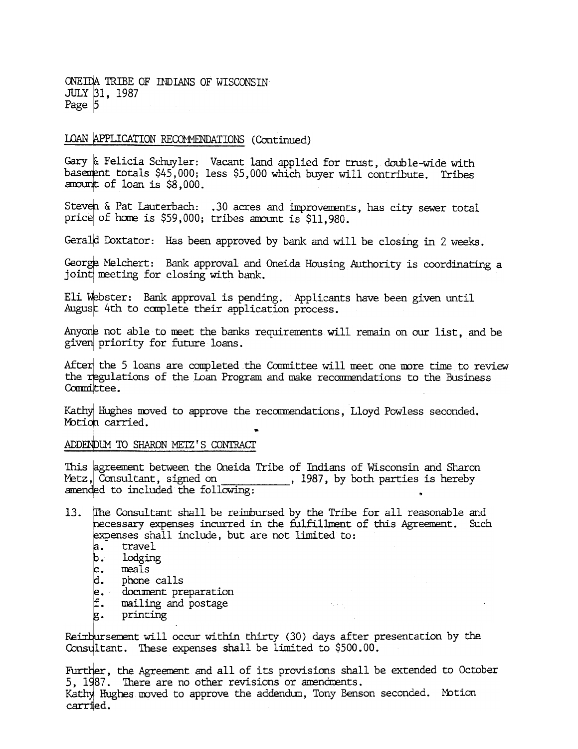ONEIDA TRIBE OF INDIANS OF WISCONSIN JULY 31, 1987 Page 5

#### LOAN APPLICATION RECOMMENDATIONS (Continued)

Gary & Felicia Schuyler: Vacant land applied for trust, double-wide with basement totals \$45,000; less \$5,000 which buyer will contribute. Tribes amount of loan is \$8,000.

Steven & Pat Lauterbach: .30 acres and improvements, has city sewer total price of home is \$59,000; tribes amount is \$11.980.

Gerald Doxtator: Has been approved by bank and will be closing in 2 weeks.

George Melchert: Bank approval and Oneida Housing Authority is coordinating a joint meeting for closing with bank.

Eli Webster: Bank approval is pending. Applicants have been given until August 4th to complete their application process.

Anyone not able to meet the banks requirements will remain on our list, and be given priority for future loans.

After the 5 loans are completed the Committee will meet one more time to review the regulations of the Loan Program and make recommendations to the Business Committee.

Kathy Hughes moved to approve the recommendations, Lloyd Powless seconded. Motion carried.

ADDENDUM TO SHARON METZ'S CONTRACT

This agreement between the Oneida Tribe of Indians of Wisconsin and Sharon Metz,  $\overline{C}$  consultant, signed on  $\overline{C}$ , 1987, by both parties is hereby amended to included the following:

- The Consultant shall be reimbursed by the Tribe for all reasonable and 13. necessary expenses incurred in the fulfillment of this Agreement. Such expenses shall include, but are not limited to:
	- a. travel
	- b. lodging
	- $|c.$  meals
	- d. phone calls
	- e. document preparation
	- f. mailing and postage
	- g. printing

Reimbursement will occur within thirty (30) days after presentation by the Consultant. These expenses shall be limited to \$500.00.

 $\sim 10^{11}$  km  $^{-1}$ 

Further, the Agreement and all of its provisions shall be extended to October 5, 1987. There are no other revisions or amendments. Kathy Hughes moved to approve the addendum, Tony Benson seconded. Motion carried.